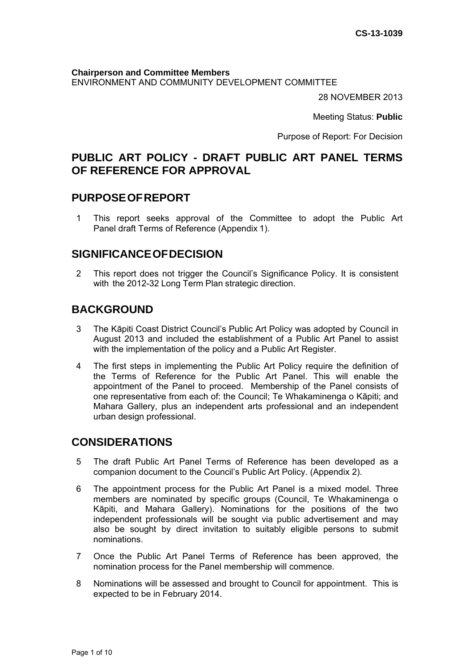**Chairperson and Committee Members** ENVIRONMENT AND COMMUNITY DEVELOPMENT COMMITTEE

28 NOVEMBER 2013

Meeting Status: **Public**

Purpose of Report: For Decision

# **PUBLIC ART POLICY - DRAFT PUBLIC ART PANEL TERMS OF REFERENCE FOR APPROVAL**

## **PURPOSEOFREPORT**

1 This report seeks approval of the Committee to adopt the Public Art Panel draft Terms of Reference (Appendix 1).

## **SIGNIFICANCEOFDECISION**

2 This report does not trigger the Council's Significance Policy. It is consistent with the 2012-32 Long Term Plan strategic direction.

# **BACKGROUND**

- 3 The Kāpiti Coast District Council's Public Art Policy was adopted by Council in August 2013 and included the establishment of a Public Art Panel to assist with the implementation of the policy and a Public Art Register.
- 4 The first steps in implementing the Public Art Policy require the definition of the Terms of Reference for the Public Art Panel. This will enable the appointment of the Panel to proceed. Membership of the Panel consists of one representative from each of: the Council; Te Whakaminenga o Kāpiti; and Mahara Gallery, plus an independent arts professional and an independent urban design professional.

# **CONSIDERATIONS**

- 5 The draft Public Art Panel Terms of Reference has been developed as a companion document to the Council's Public Art Policy. (Appendix 2).
- 6 The appointment process for the Public Art Panel is a mixed model. Three members are nominated by specific groups (Council, Te Whakaminenga o Kāpiti, and Mahara Gallery). Nominations for the positions of the two independent professionals will be sought via public advertisement and may also be sought by direct invitation to suitably eligible persons to submit nominations.
- 7 Once the Public Art Panel Terms of Reference has been approved, the nomination process for the Panel membership will commence.
- 8 Nominations will be assessed and brought to Council for appointment. This is expected to be in February 2014.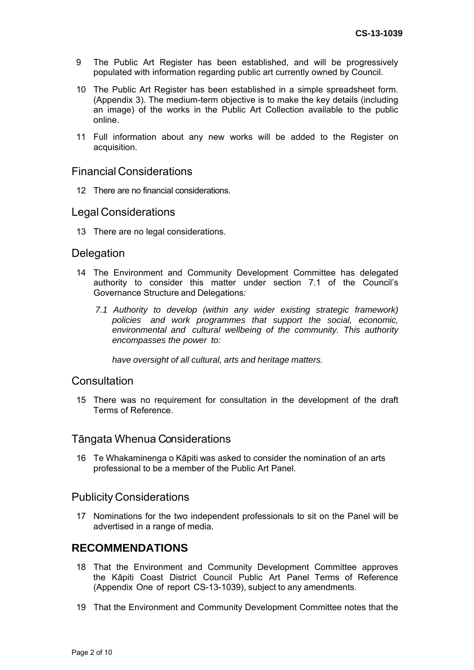- 9 The Public Art Register has been established, and will be progressively populated with information regarding public art currently owned by Council.
- 10 The Public Art Register has been established in a simple spreadsheet form. (Appendix 3). The medium-term objective is to make the key details (including an image) of the works in the Public Art Collection available to the public online.
- 11 Full information about any new works will be added to the Register on acquisition.

### Financial Considerations

12 There are no financial considerations.

#### Legal Considerations

13 There are no legal considerations.

#### **Delegation**

- 14 The Environment and Community Development Committee has delegated authority to consider this matter under section 7.1 of the Council's Governance Structure and Delegations*:*
	- *7.1 Authority to develop (within any wider existing strategic framework) policies and work programmes that support the social, economic, environmental and cultural wellbeing of the community. This authority encompasses the power to:*

*have oversight of all cultural, arts and heritage matters.*

### **Consultation**

15 There was no requirement for consultation in the development of the draft Terms of Reference.

### Tāngata Whenua Considerations

16 Te Whakaminenga o Kāpiti was asked to consider the nomination of an arts professional to be a member of the Public Art Panel.

#### Publicity Considerations

17 Nominations for the two independent professionals to sit on the Panel will be advertised in a range of media.

## **RECOMMENDATIONS**

- 18 That the Environment and Community Development Committee approves the Kāpiti Coast District Council Public Art Panel Terms of Reference (Appendix One of report CS-13-1039), subject to any amendments.
- 19 That the Environment and Community Development Committee notes that the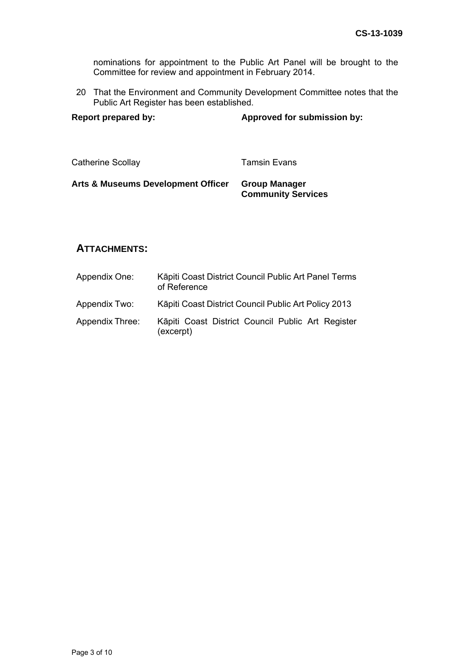nominations for appointment to the Public Art Panel will be brought to the Committee for review and appointment in February 2014.

20 That the Environment and Community Development Committee notes that the Public Art Register has been established.

| <b>Report prepared by:</b> | Approved for submission by: |
|----------------------------|-----------------------------|
|                            |                             |

Catherine Scollay **Tamsin Evans** 

### **Arts & Museums Development Officer Group Manager Community Services**

## **ATTACHMENTS:**

| Appendix One:          | Kāpiti Coast District Council Public Art Panel Terms<br>of Reference |
|------------------------|----------------------------------------------------------------------|
| Appendix Two:          | Kāpiti Coast District Council Public Art Policy 2013                 |
| <b>Appendix Three:</b> | Käpiti Coast District Council Public Art Register<br>(excerpt)       |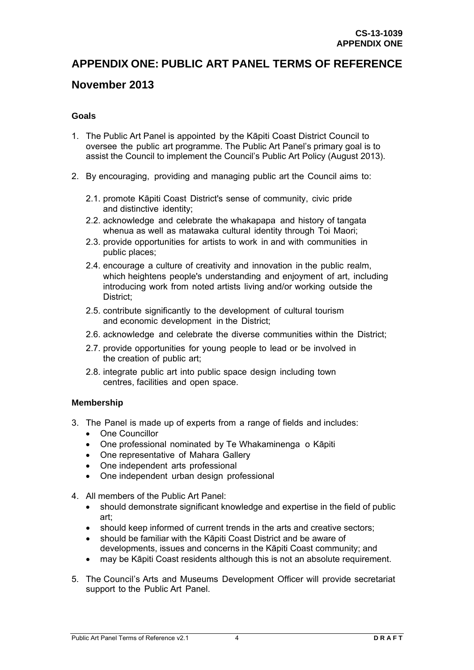# **APPENDIX ONE: PUBLIC ART PANEL TERMS OF REFERENCE**

## **November 2013**

#### **Goals**

- 1. The Public Art Panel is appointed by the Kāpiti Coast District Council to oversee the public art programme. The Public Art Panel's primary goal is to assist the Council to implement the Council's Public Art Policy (August 2013).
- 2. By encouraging, providing and managing public art the Council aims to:
	- 2.1. promote Kāpiti Coast District's sense of community, civic pride and distinctive identity;
	- 2.2. acknowledge and celebrate the whakapapa and history of tangata whenua as well as matawaka cultural identity through Toi Maori;
	- 2.3. provide opportunities for artists to work in and with communities in public places;
	- 2.4. encourage a culture of creativity and innovation in the public realm, which heightens people's understanding and enjoyment of art, including introducing work from noted artists living and/or working outside the District;
	- 2.5. contribute significantly to the development of cultural tourism and economic development in the District;
	- 2.6. acknowledge and celebrate the diverse communities within the District;
	- 2.7. provide opportunities for young people to lead or be involved in the creation of public art;
	- 2.8. integrate public art into public space design including town centres, facilities and open space.

#### **Membership**

- 3. The Panel is made up of experts from a range of fields and includes:
	- One Councillor
	- One professional nominated by Te Whakaminenga o Kāpiti
	- One representative of Mahara Gallery
	- One independent arts professional
	- One independent urban design professional
- 4. All members of the Public Art Panel:
	- should demonstrate significant knowledge and expertise in the field of public art;
	- should keep informed of current trends in the arts and creative sectors;
	- should be familiar with the Kāpiti Coast District and be aware of developments, issues and concerns in the Kāpiti Coast community; and
	- may be Kāpiti Coast residents although this is not an absolute requirement.
- 5. The Council's Arts and Museums Development Officer will provide secretariat support to the Public Art Panel.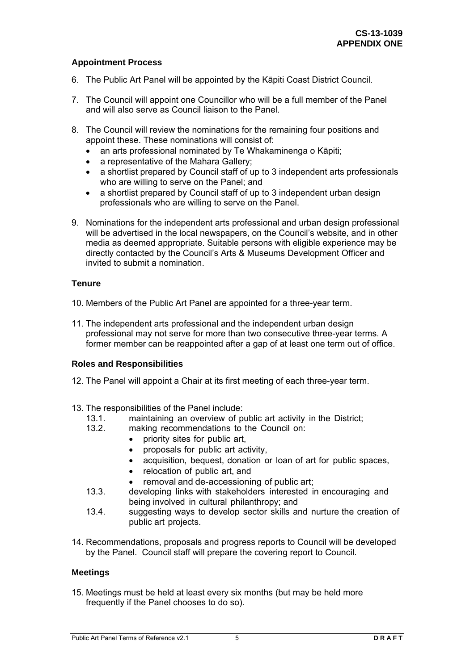#### **Appointment Process**

- 6. The Public Art Panel will be appointed by the Kāpiti Coast District Council.
- 7. The Council will appoint one Councillor who will be a full member of the Panel and will also serve as Council liaison to the Panel.
- 8. The Council will review the nominations for the remaining four positions and appoint these. These nominations will consist of:
	- an arts professional nominated by Te Whakaminenga o Kāpiti;
	- a representative of the Mahara Gallery;
	- a shortlist prepared by Council staff of up to 3 independent arts professionals who are willing to serve on the Panel; and
	- a shortlist prepared by Council staff of up to 3 independent urban design professionals who are willing to serve on the Panel.
- 9. Nominations for the independent arts professional and urban design professional will be advertised in the local newspapers, on the Council's website, and in other media as deemed appropriate. Suitable persons with eligible experience may be directly contacted by the Council's Arts & Museums Development Officer and invited to submit a nomination.

#### **Tenure**

- 10. Members of the Public Art Panel are appointed for a three-year term.
- 11. The independent arts professional and the independent urban design professional may not serve for more than two consecutive three-year terms. A former member can be reappointed after a gap of at least one term out of office.

#### **Roles and Responsibilities**

- 12. The Panel will appoint a Chair at its first meeting of each three-year term.
- 13. The responsibilities of the Panel include:
	- 13.1. maintaining an overview of public art activity in the District;
	- 13.2. making recommendations to the Council on:
		- priority sites for public art,
		- proposals for public art activity,
		- acquisition, bequest, donation or loan of art for public spaces,
		- relocation of public art, and
		- removal and de-accessioning of public art;
	- 13.3. developing links with stakeholders interested in encouraging and being involved in cultural philanthropy; and
	- 13.4. suggesting ways to develop sector skills and nurture the creation of public art projects.
- 14. Recommendations, proposals and progress reports to Council will be developed by the Panel. Council staff will prepare the covering report to Council.

#### **Meetings**

15. Meetings must be held at least every six months (but may be held more frequently if the Panel chooses to do so).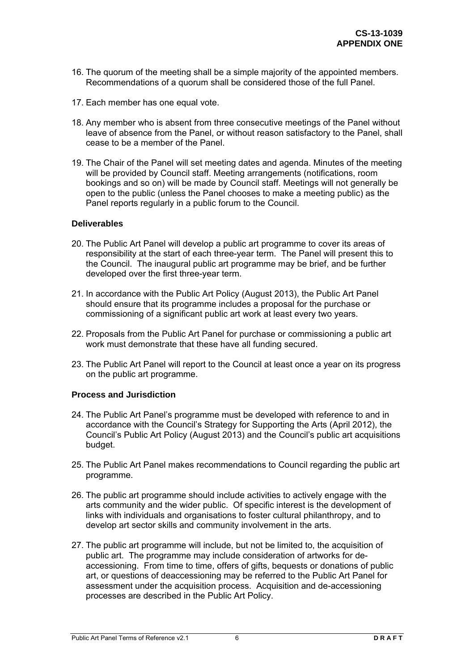- 16. The quorum of the meeting shall be a simple majority of the appointed members. Recommendations of a quorum shall be considered those of the full Panel.
- 17. Each member has one equal vote.
- 18. Any member who is absent from three consecutive meetings of the Panel without leave of absence from the Panel, or without reason satisfactory to the Panel, shall cease to be a member of the Panel.
- 19. The Chair of the Panel will set meeting dates and agenda. Minutes of the meeting will be provided by Council staff. Meeting arrangements (notifications, room bookings and so on) will be made by Council staff. Meetings will not generally be open to the public (unless the Panel chooses to make a meeting public) as the Panel reports regularly in a public forum to the Council.

#### **Deliverables**

- 20. The Public Art Panel will develop a public art programme to cover its areas of responsibility at the start of each three-year term. The Panel will present this to the Council. The inaugural public art programme may be brief, and be further developed over the first three-year term.
- 21. In accordance with the Public Art Policy (August 2013), the Public Art Panel should ensure that its programme includes a proposal for the purchase or commissioning of a significant public art work at least every two years.
- 22. Proposals from the Public Art Panel for purchase or commissioning a public art work must demonstrate that these have all funding secured.
- 23. The Public Art Panel will report to the Council at least once a year on its progress on the public art programme.

#### **Process and Jurisdiction**

- 24. The Public Art Panel's programme must be developed with reference to and in accordance with the Council's Strategy for Supporting the Arts (April 2012), the Council's Public Art Policy (August 2013) and the Council's public art acquisitions budget.
- 25. The Public Art Panel makes recommendations to Council regarding the public art programme.
- 26. The public art programme should include activities to actively engage with the arts community and the wider public. Of specific interest is the development of links with individuals and organisations to foster cultural philanthropy, and to develop art sector skills and community involvement in the arts.
- 27. The public art programme will include, but not be limited to, the acquisition of public art. The programme may include consideration of artworks for deaccessioning. From time to time, offers of gifts, bequests or donations of public art, or questions of deaccessioning may be referred to the Public Art Panel for assessment under the acquisition process. Acquisition and de-accessioning processes are described in the Public Art Policy.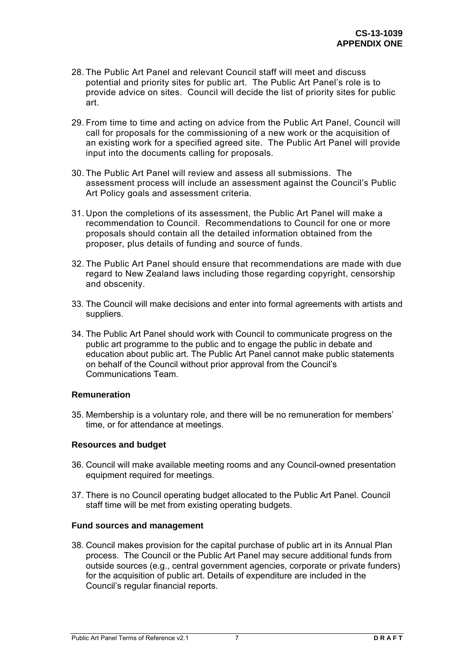- 28. The Public Art Panel and relevant Council staff will meet and discuss potential and priority sites for public art. The Public Art Panel's role is to provide advice on sites. Council will decide the list of priority sites for public art.
- 29. From time to time and acting on advice from the Public Art Panel, Council will call for proposals for the commissioning of a new work or the acquisition of an existing work for a specified agreed site. The Public Art Panel will provide input into the documents calling for proposals.
- 30. The Public Art Panel will review and assess all submissions. The assessment process will include an assessment against the Council's Public Art Policy goals and assessment criteria.
- 31. Upon the completions of its assessment, the Public Art Panel will make a recommendation to Council. Recommendations to Council for one or more proposals should contain all the detailed information obtained from the proposer, plus details of funding and source of funds.
- 32. The Public Art Panel should ensure that recommendations are made with due regard to New Zealand laws including those regarding copyright, censorship and obscenity.
- 33. The Council will make decisions and enter into formal agreements with artists and suppliers.
- 34. The Public Art Panel should work with Council to communicate progress on the public art programme to the public and to engage the public in debate and education about public art. The Public Art Panel cannot make public statements on behalf of the Council without prior approval from the Council's Communications Team.

#### **Remuneration**

35. Membership is a voluntary role, and there will be no remuneration for members' time, or for attendance at meetings.

#### **Resources and budget**

- 36. Council will make available meeting rooms and any Council-owned presentation equipment required for meetings.
- 37. There is no Council operating budget allocated to the Public Art Panel. Council staff time will be met from existing operating budgets.

#### **Fund sources and management**

38. Council makes provision for the capital purchase of public art in its Annual Plan process. The Council or the Public Art Panel may secure additional funds from outside sources (e.g., central government agencies, corporate or private funders) for the acquisition of public art. Details of expenditure are included in the Council's regular financial reports.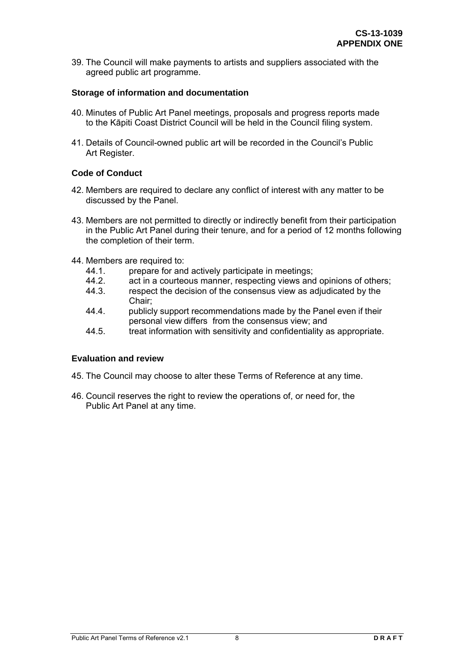39. The Council will make payments to artists and suppliers associated with the agreed public art programme.

#### **Storage of information and documentation**

- 40. Minutes of Public Art Panel meetings, proposals and progress reports made to the Kāpiti Coast District Council will be held in the Council filing system.
- 41. Details of Council-owned public art will be recorded in the Council's Public Art Register.

#### **Code of Conduct**

- 42. Members are required to declare any conflict of interest with any matter to be discussed by the Panel.
- 43. Members are not permitted to directly or indirectly benefit from their participation in the Public Art Panel during their tenure, and for a period of 12 months following the completion of their term.
- 44. Members are required to:
	- 44.1. prepare for and actively participate in meetings;
	- 44.2. act in a courteous manner, respecting views and opinions of others;
	- 44.3. respect the decision of the consensus view as adjudicated by the Chair;
	- 44.4. publicly support recommendations made by the Panel even if their personal view differs from the consensus view; and
	- 44.5. treat information with sensitivity and confidentiality as appropriate.

#### **Evaluation and review**

- 45. The Council may choose to alter these Terms of Reference at any time.
- 46. Council reserves the right to review the operations of, or need for, the Public Art Panel at any time.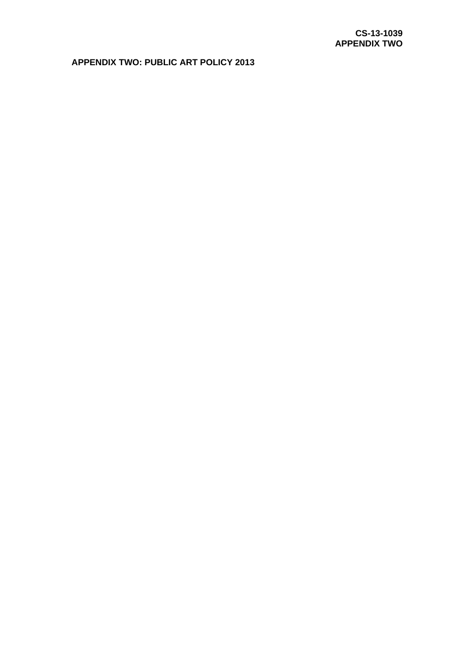## **APPENDIX TWO: PUBLIC ART POLICY 2013**